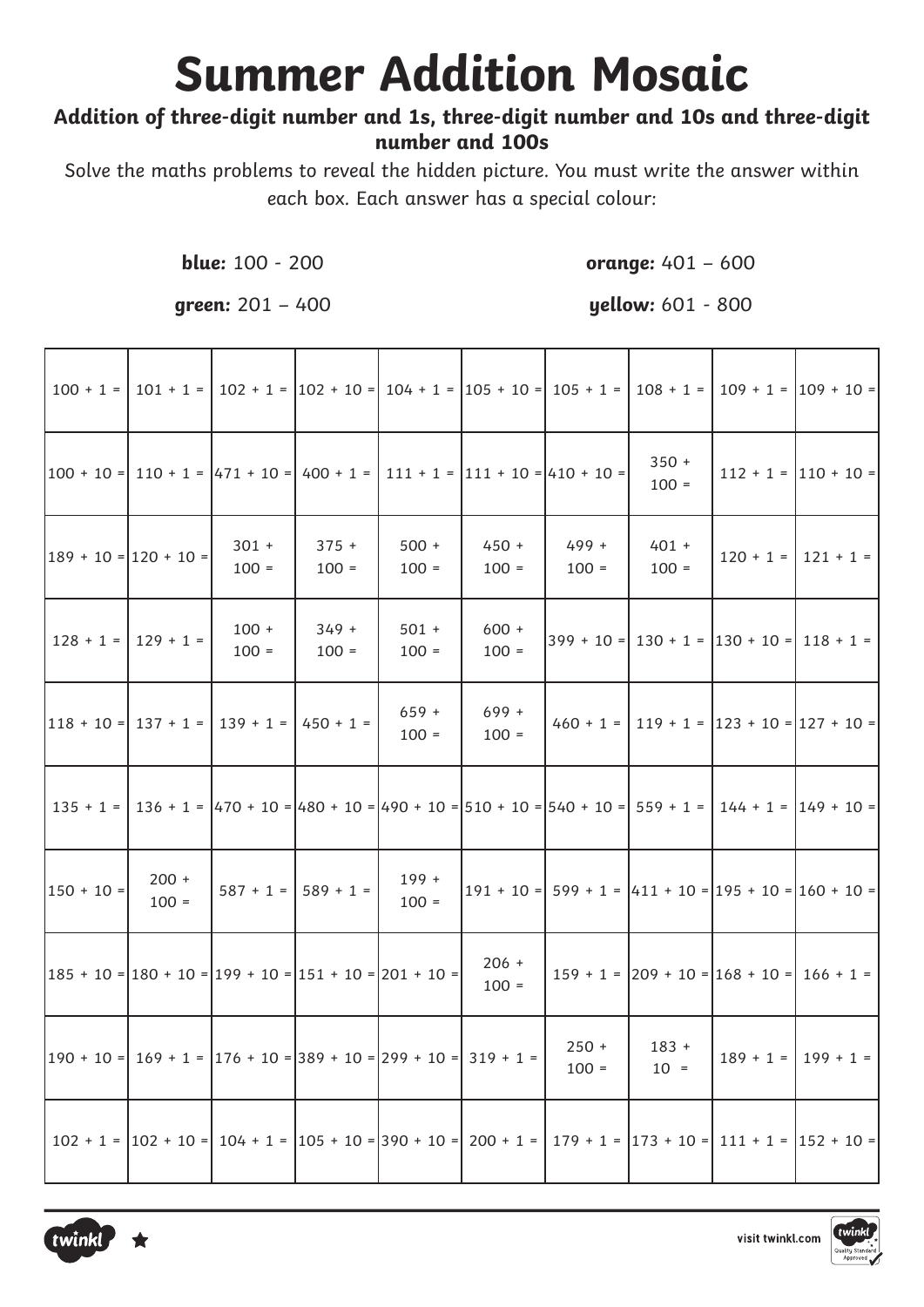# **Summer Addition Mosaic**

### Addition of three-digit number and 1s, three-digit number and 10s and three-digit number and 100s

Solve the maths problems to reveal the hidden picture. You must write the answer within each box. Each answer has a special colour:

**blue:** 100 - 200

orange:  $401 - 600$ 

qreen:  $201 - 400$ 

**yellow:** 601 - 800

|                                                                                                                           |                         |                                                                                                                                                 |                         |                    |                    | $100 + 1 =   101 + 1 =   102 + 1 =   102 + 10 =   104 + 1 =   105 + 10 =   105 + 1 =   108 + 1 =   109 + 1 =   109 + 10 =   101 + 10 =   101 + 10 =   101 + 10 =   101 + 10 =   101 + 10 =   101 + 10 =   101 + 10 =   101 + 10 =   101 + 10 =   101 + 10 =   101 + 10 =   101 + 10 =   101 + 10$           |                                                   |                                                     |
|---------------------------------------------------------------------------------------------------------------------------|-------------------------|-------------------------------------------------------------------------------------------------------------------------------------------------|-------------------------|--------------------|--------------------|-------------------------------------------------------------------------------------------------------------------------------------------------------------------------------------------------------------------------------------------------------------------------------------------------------------|---------------------------------------------------|-----------------------------------------------------|
|                                                                                                                           |                         | $ 100 \div 10 =   110 \div 1 =  471 \div 10 =   400 \div 1 =   111 \div 1 =  111 \div 10 =  410 \div 10 =$                                      |                         |                    |                    |                                                                                                                                                                                                                                                                                                             | $350 +$<br>$100 =$                                | $112 + 1 =  110 + 10 =$                             |
| $ 189 + 10 =  120 + 10 =$                                                                                                 |                         | $301 +$<br>$100 =$                                                                                                                              | $375 +$<br>$100 =$      | $500 +$<br>$100 =$ | $450 +$<br>$100 =$ | 499 +<br>$100 =$                                                                                                                                                                                                                                                                                            | $401 +$<br>$100 =$                                | $120 + 1 =   121 + 1 =$                             |
|                                                                                                                           | $128 + 1 =   129 + 1 =$ | $100 +$<br>$100 =$                                                                                                                              | $349 +$<br>$100 =$      | $501 +$<br>$100 =$ | $600 +$<br>$100 =$ |                                                                                                                                                                                                                                                                                                             | $399 + 10 =   130 + 1 =   130 + 10 =   118 + 1 =$ |                                                     |
|                                                                                                                           |                         | $ 118 + 10 =   137 + 1 =   139 + 1 =   450 + 1 =$                                                                                               |                         | $659 +$<br>$100 =$ | $699 +$<br>$100 =$ |                                                                                                                                                                                                                                                                                                             |                                                   | $460 + 1 =   119 + 1 =   123 + 10 =   127 + 10 =  $ |
|                                                                                                                           |                         |                                                                                                                                                 |                         |                    |                    | $135 + 1 =   136 + 1 =   470 + 10 =   480 + 10 =   490 + 10 =   510 + 10 =   540 + 10 =   559 + 1 =   144 + 1 =   149 + 10 =   149 + 10 =   149 + 10 =   149 + 10 =   149 + 10 =   149 + 10 =   149 + 10 =   149 + 10 =   149 + 10 =   149 + 10 =   149 + 10 =   149 + 10 =   149 + 10 =   149 +$           |                                                   |                                                     |
| $150 + 10 =$                                                                                                              | $200 +$<br>$100 =$      |                                                                                                                                                 | $587 + 1 =   589 + 1 =$ | $199 +$<br>$100 =$ |                    | $\left 191 + 10\right $ = $\left 599 + 1\right $ = $\left 411 + 10\right $ = $\left 195 + 10\right $ = $\left 160 + 10\right $                                                                                                                                                                              |                                                   |                                                     |
| $\left 185 + 10\right  = \left 180 + 10\right  = \left 199 + 10\right  = \left 151 + 10\right  = \left 201 + 10\right  =$ |                         |                                                                                                                                                 |                         |                    | $206 +$<br>$100 =$ |                                                                                                                                                                                                                                                                                                             | $159 + 1 =  209 + 10 =  168 + 10 =  166 + 1 =$    |                                                     |
|                                                                                                                           |                         | $\left 190 + 10\right  = \left 169 + 1\right  = \left 176 + 10\right  = \left 389 + 10\right  = \left 299 + 10\right  = \left 319 + 1\right  =$ |                         |                    |                    | $250 +$<br>$100 =$                                                                                                                                                                                                                                                                                          | $183 +$<br>$10 =$                                 | $189 + 1 =   199 + 1 =$                             |
|                                                                                                                           |                         |                                                                                                                                                 |                         |                    |                    | $102 + 1 =  102 + 10 =  104 + 1 =  105 + 10 =  390 + 10 =  200 + 1 =  179 + 1 =  173 + 10 =  111 + 1 =  152 + 10 =  111 + 1 =  152 + 10 =  111 + 1 =  152 + 10 =  111 + 1 =  152 + 10 =  111 + 1 =  152 + 10 =  111 + 1 =  152 + 10 =  111 + 1 =  152 + 10 =  111 + 1 =  152 + 10 =  111 + 1 =  152 + 10 =$ |                                                   |                                                     |



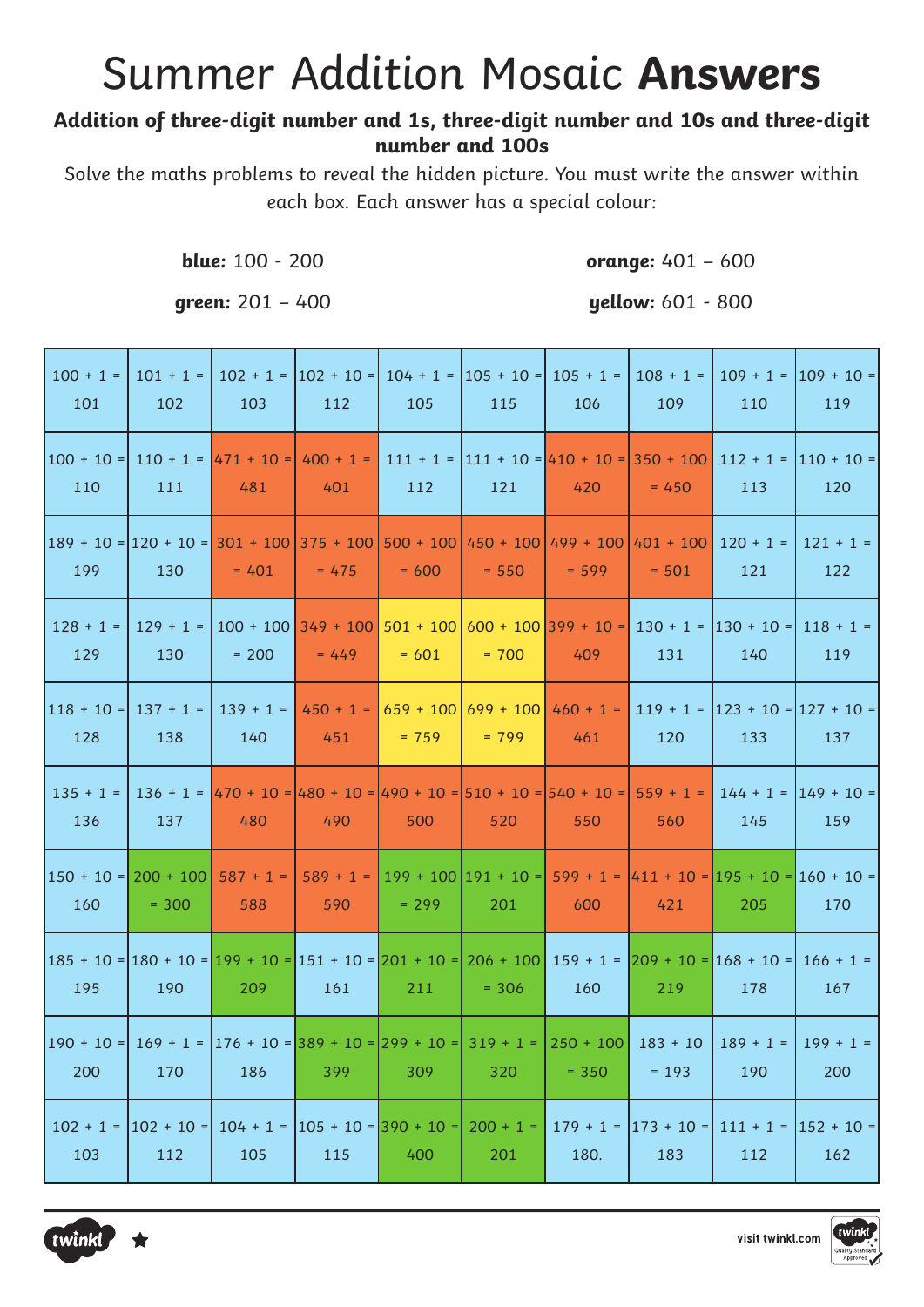## **Summer Addition Mosaic Answers**

#### Addition of three-digit number and 1s, three-digit number and 10s and three-digit number and 100s

Solve the maths problems to reveal the hidden picture. You must write the answer within each box. Each answer has a special colour:

blue: 100 - 200

qreen:  $201 - 400$ 

orange:  $401 - 600$ 

| <b>yellow:</b> 601 - 800 |  |  |  |
|--------------------------|--|--|--|
|--------------------------|--|--|--|

| $100 + 1 =$<br>101                                                                                                                               | $101 + 1 =$<br>102     | 103                                                                                                                                                                                                                                                                                                    | 112                                                     | 105     | 115                                  | $102 + 1 =  102 + 10 =  104 + 1 =  105 + 10 =  105 + 1 =  $<br>106                                       | $108 + 1 =$<br>109               | 110                | $109 + 1 =  109 + 10 =$<br>119             |
|--------------------------------------------------------------------------------------------------------------------------------------------------|------------------------|--------------------------------------------------------------------------------------------------------------------------------------------------------------------------------------------------------------------------------------------------------------------------------------------------------|---------------------------------------------------------|---------|--------------------------------------|----------------------------------------------------------------------------------------------------------|----------------------------------|--------------------|--------------------------------------------|
| 110                                                                                                                                              | 111                    | $100 + 10 = 110 + 1 =  471 + 10  =  400 + 1  =  111 + 1  =  111 + 10  =  410 + 10  =  350 + 100   112 + 1  =  110 + 10  =  110 + 10  =  110 + 10  =  110 + 10  =  110 + 10  =  110 + 10  =  110 + 10  =  110 + 10  =  110 + 10  =  110 + 10  =  110 + 10  =  110 + 10  =  110 + 10  =  110 + 1$<br>481 | 401                                                     | 112     | 121                                  | 420                                                                                                      | $= 450$                          | 113                | 120                                        |
| $\left 189+10\right $ = $\left 120+10\right $ = $\left 301+100\right 375+100$ $\left 500+100\right 450+100$ $\left 499+100\right 401+100$<br>199 | 130                    | $= 401$                                                                                                                                                                                                                                                                                                | $= 475$                                                 | $= 600$ | $= 550$                              | $= 599$                                                                                                  | $= 501$                          | $120 + 1 =$<br>121 | $121 + 1 =$<br>122                         |
| $128 + 1 =$<br>129                                                                                                                               | 129 + 1 =  <br>130     | $= 200$                                                                                                                                                                                                                                                                                                | $= 449$                                                 | $= 601$ | $= 700$                              | $100 + 100$   349 + 100   501 + 100   600 + 100   399 + 10 =   130 + 1 =   130 + 10 =   118 + 1 =<br>409 | 131                              | 140                | 119                                        |
| 118 + 10 =  137 + 1 =  <br>128                                                                                                                   | 138                    | 140                                                                                                                                                                                                                                                                                                    | $139 + 1 =   450 + 1 =  $<br>451                        | $= 759$ | $659 + 100   699 + 100  $<br>$= 799$ | $460 + 1 =$<br>461                                                                                       | 120                              | 133                | $119 + 1 =  123 + 10 =  127 + 10 =$<br>137 |
| 136                                                                                                                                              | 137                    | $135 + 1 =   136 + 1 =   470 + 10 =   480 + 10 =   490 + 10 =   510 + 10 =   540 + 10 =   559 + 1 =  $<br>480                                                                                                                                                                                          | 490                                                     | 500     | 520                                  | 550                                                                                                      | 560                              | 145                | $144 + 1 =  149 + 10 =$<br>159             |
| $150 + 10 = 200 + 100$<br>160                                                                                                                    | $= 300$                | $587 + 1 =$<br>588                                                                                                                                                                                                                                                                                     | 590                                                     | $= 299$ | 201                                  | $589 + 1 =  199 + 100 191 + 10 =  599 + 1 =  411 + 10 =  195 + 10 =  160 + 10 =$<br>600                  | 421                              | 205                | 170                                        |
| 185 + 10 = 180 + 10 = 199 + 10 = 151 + 10 = 201 + 10 = 206 + 100  159 + 1 =  209 + 10 = 168 + 10 =  166 + 1 =<br>195                             | 190                    | 209                                                                                                                                                                                                                                                                                                    | 161                                                     | 211     | $= 306$                              | 160                                                                                                      | 219                              | 178                | 167                                        |
| $\vert 190 + 10 = \vert 169 + 1 = \vert 176 + 10 = \vert 389 + 10 = \vert 299 + 10 = \vert 319 + 1 = \vert 250 + 100 \vert$<br>200               | 170                    | 186                                                                                                                                                                                                                                                                                                    | 399                                                     | 309     | 320                                  | $= 350$                                                                                                  | $183 + 10$<br>$= 193$            | $189 + 1 =$<br>190 | $199 + 1 =$<br>200                         |
| $102 + 1 =$<br>103                                                                                                                               | $ 102 + 10 =  $<br>112 | 105                                                                                                                                                                                                                                                                                                    | $104 + 1 =  105 + 10 =  390 + 10 =  200 + 1 =  $<br>115 | 400     | 201                                  | 180.                                                                                                     | $179 + 1 =  173 + 10 =  $<br>183 | 112                | $111 + 1 =  152 + 10 =$<br>162             |



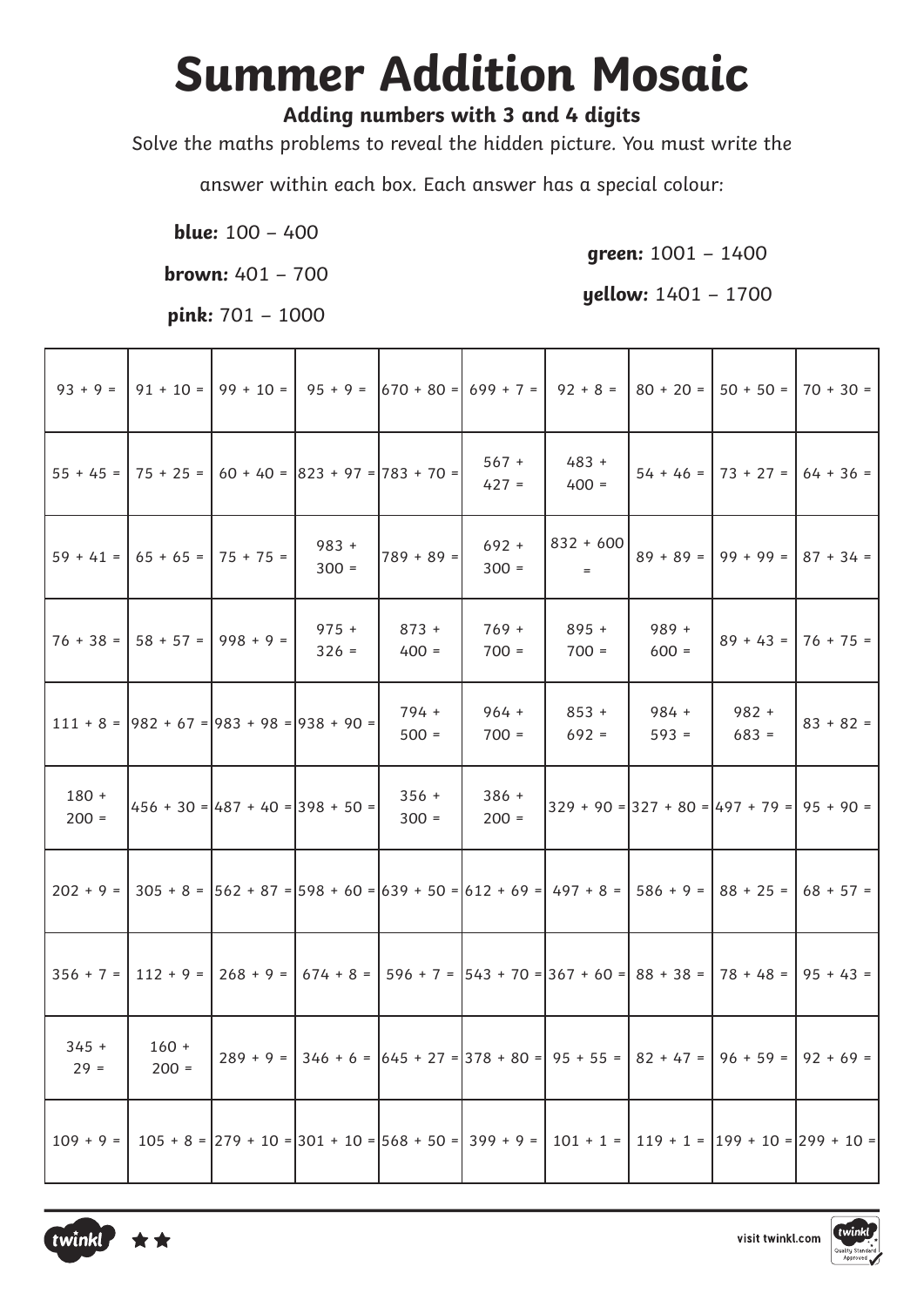## **Summer Addition Mosaic**

### Adding numbers with 3 and 4 digits

Solve the maths problems to reveal the hidden picture. You must write the

answer within each box. Each answer has a special colour:

**blue:**  $100 - 400$ 

**brown:**  $401 - 700$ 

pink:  $701 - 1000$ 

qreen:  $1001 - 1400$ 

yellow: 1401 - 1700

| $93 + 9 =$         | $91 + 10 =$                                        | $99 + 10 =$                        | $95 + 9 =$                            |                    | $ 670 + 80 =   699 + 7 =  $ | $92 + 8 =$                                                                                          | $80 + 20 =$        | $50 + 50 =$                                    | $70 + 30 =$                                                                                                |
|--------------------|----------------------------------------------------|------------------------------------|---------------------------------------|--------------------|-----------------------------|-----------------------------------------------------------------------------------------------------|--------------------|------------------------------------------------|------------------------------------------------------------------------------------------------------------|
| $55 + 45 =$        | $ 75 + 25 =  $                                     |                                    | $60 + 40 =  823 + 97  =  783 + 70  =$ |                    | $567 +$<br>$427 =$          | $483 +$<br>$400 =$                                                                                  | $54 + 46 =$        | $73 + 27 =$                                    | $64 + 36 =$                                                                                                |
| $59 + 41 =$        | $65 + 65 =$                                        | $75 + 75 =$                        | $983 +$<br>$300 =$                    | $789 + 89 =$       | $692 +$<br>$300 =$          | $832 + 600$<br>$=$                                                                                  | $89 + 89 =$        | $99 + 99 =$                                    | $87 + 34 =$                                                                                                |
| $76 + 38 =$        | $58 + 57 =$                                        | $998 + 9 =$                        | $975 +$<br>$326 =$                    | $873 +$<br>$400 =$ | $769 +$<br>$700 =$          | $895 +$<br>$700 =$                                                                                  | $989 +$<br>$600 =$ | $89 + 43 =$                                    | $76 + 75 =$                                                                                                |
|                    | $111 + 8 =  982 + 67  =  983 + 98  =  938 + 90  =$ |                                    |                                       | 794 +<br>$500 =$   | $964 +$<br>$700 =$          | $853 +$<br>$692 =$                                                                                  | 984 +<br>$593 =$   | $982 +$<br>$683 =$                             | $83 + 82 =$                                                                                                |
| $180 +$<br>$200 =$ |                                                    | $456 + 30 = 487 + 40 = 398 + 50 =$ |                                       | $356 +$<br>$300 =$ | $386 +$<br>$200 =$          |                                                                                                     |                    | $329 + 90 = 327 + 80 = 497 + 79 = 95 + 90 = 1$ |                                                                                                            |
| $202 + 9 =$        |                                                    |                                    |                                       |                    |                             | $305 + 8 =  562 + 87  =  598 + 60  =  639 + 50  =  612 + 69  =  497 + 8  =  586 + 9  =  88 + 25  =$ |                    |                                                | $68 + 57 =$                                                                                                |
| $356 + 7 =$        | $112 + 9 =$                                        |                                    |                                       |                    |                             | $268 + 9 =   674 + 8 =   596 + 7 =   543 + 70 =   367 + 60 =   88 + 38 =   78 + 48 =  $             |                    |                                                | $95 + 43 =$                                                                                                |
| $345 +$<br>$29 =$  | $160 +$<br>$200 =$                                 |                                    |                                       |                    |                             | $289 + 9 =  346 + 6 =  645 + 27 =  378 + 80 =  95 + 55 =  82 + 47 =  96 + 59 =  92 + 69 =  $        |                    |                                                |                                                                                                            |
| $109 + 9 =$        |                                                    |                                    |                                       |                    |                             |                                                                                                     |                    |                                                | $105 + 8 =  279 + 10 =  301 + 10 =  568 + 50 =  399 + 9 =  101 + 1 =  119 + 1 =  199 + 10 =  299 + 10 =  $ |



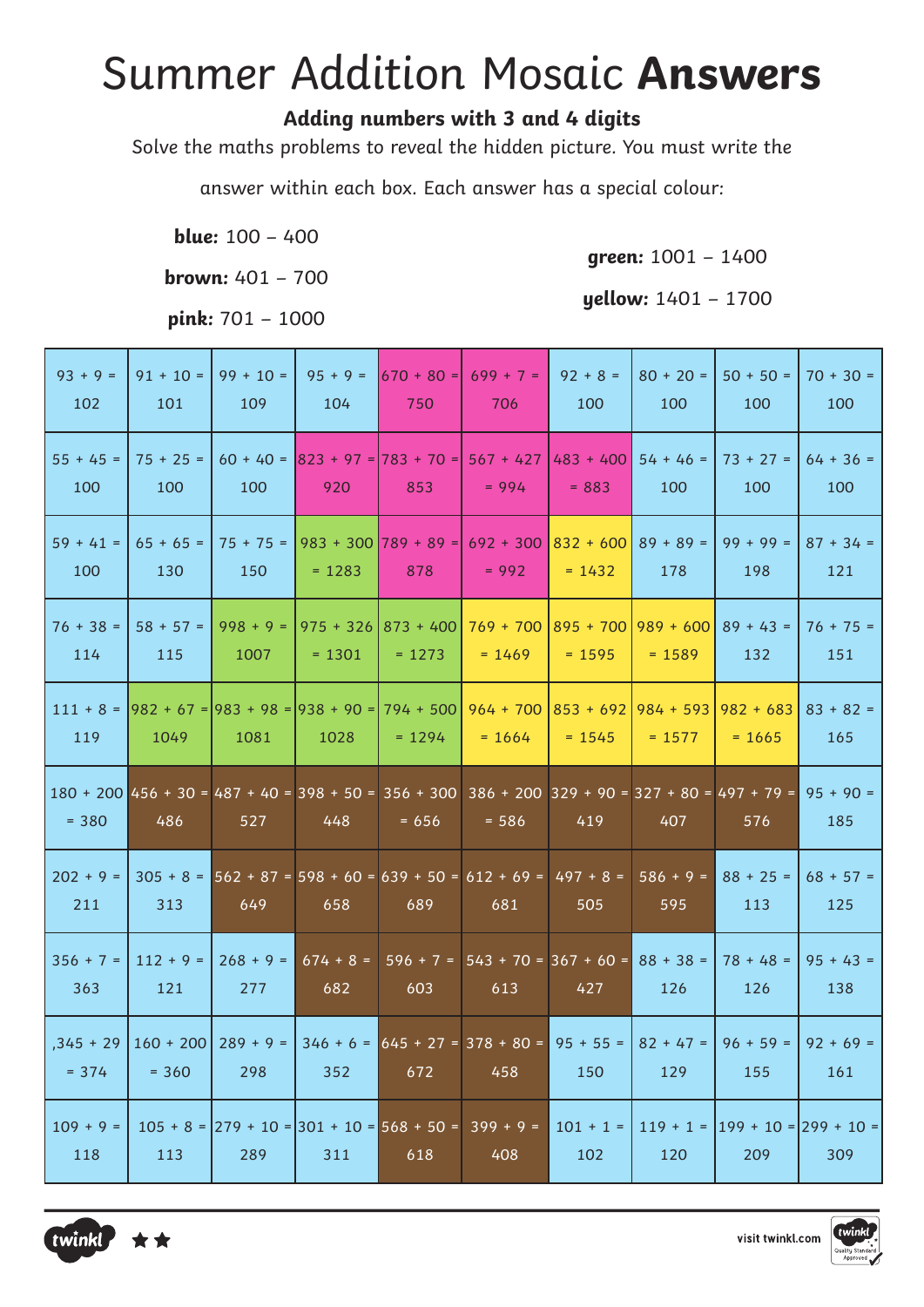### **Summer Addition Mosaic Answers**

### Adding numbers with 3 and 4 digits

Solve the maths problems to reveal the hidden picture. You must write the

answer within each box. Each answer has a special colour:

**blue:**  $100 - 400$ 

**brown:**  $401 - 700$ 

pink: 701 - 1000

green: 1001 - 1400

| yellow: 1401 - 1700 |  |  |
|---------------------|--|--|
|---------------------|--|--|

| $93 + 9 =$<br>102      | $91 + 10 =$<br>101     | $99 + 10 =$<br>109  | $95 + 9 =$<br>104  | 1670 + 80 = 1<br>750                                          | $699 + 7 =$<br>706                                                                                                     | $92 + 8 =$<br>100       | $80 + 20 =$<br>100                | $50 + 50 =$<br>100      | $70 + 30 =$<br>100 |
|------------------------|------------------------|---------------------|--------------------|---------------------------------------------------------------|------------------------------------------------------------------------------------------------------------------------|-------------------------|-----------------------------------|-------------------------|--------------------|
| $55 + 45 =$<br>100     | $75 + 25 =$<br>100     | $60 + 40 =$<br>100  | 920                | $ 823 + 97 =  783 + 70 =  567 + 427$<br>853                   | $= 994$                                                                                                                | $483 + 400$<br>$= 883$  | $54 + 46 =$<br>100                | $73 + 27 =$<br>100      | $64 + 36 =$<br>100 |
| $59 + 41 =$<br>100     | $65 + 65 =$<br>130     | 150                 | $= 1283$           | $75 + 75 =  983 + 300 789 + 89 =  $<br>878                    | $692 + 300$<br>$= 992$                                                                                                 | $832 + 600$<br>$= 1432$ | $89 + 89 =$<br>178                | $99 + 99 =$<br>198      | $87 + 34 =$<br>121 |
| $76 + 38 =$<br>114     | $58 + 57 =$<br>115     | $998 + 9 =$<br>1007 | $= 1301$           | $975 + 326$ 873 + 400<br>$= 1273$                             | $769 + 700$<br>$= 1469$                                                                                                | $= 1595$                | $895 + 7001989 + 600$<br>$= 1589$ | $89 + 43 =$<br>132      | $76 + 75 =$<br>151 |
| $111 + 8 =$<br>119     | 1049                   | 1081                | 1028               | $ 982 + 67 =  983 + 98 =  938 + 90 =  794 + 500 $<br>$= 1294$ | $964 + 700$<br>$= 1664$                                                                                                | $853 + 692$<br>$= 1545$ | 984 + 593  <br>$= 1577$           | $982 + 683$<br>$= 1665$ | $83 + 82 =$<br>165 |
| $= 380$                | 486                    | 527                 | 448                | $= 656$                                                       | $180 + 200$ 456 + 30 = 487 + 40 = 398 + 50 = 356 + 300 386 + 200 329 + 90 = 327 + 80 = 497 + 79 = 95 + 90 =<br>$= 586$ | 419                     | 407                               | 576                     | 185                |
| $202 + 9 =$<br>211     | 313                    | 649                 | 658                | 689                                                           | $305 + 8 = 562 + 87 = 598 + 60 = 639 + 50 = 612 + 69 = 497 + 8 =$<br>681                                               | 505                     | $586 + 9 =$<br>595                | $88 + 25 =$<br>113      | $68 + 57 =$<br>125 |
| $356 + 7 =$<br>363     | $112 + 9 =$<br>121     | $268 + 9 =$<br>277  | $674 + 8 =$<br>682 | 603                                                           | $596 + 7 =  543 + 70 =  367 + 60 =  88 + 38 =$<br>613                                                                  | 427                     | 126                               | $78 + 48 =$<br>126      | $95 + 43 =$<br>138 |
| $,345 + 29$<br>$= 374$ | $160 + 200$<br>$= 360$ | $289 + 9 =$<br>298  | 352                | 672                                                           | $346 + 6 = 645 + 27 = 378 + 80 = 95 + 55 =$<br>458                                                                     | 150                     | $82 + 47 =$<br>129                | $96 + 59 =$<br>155      | $92 + 69 =$<br>161 |
|                        |                        |                     |                    |                                                               |                                                                                                                        |                         |                                   |                         |                    |



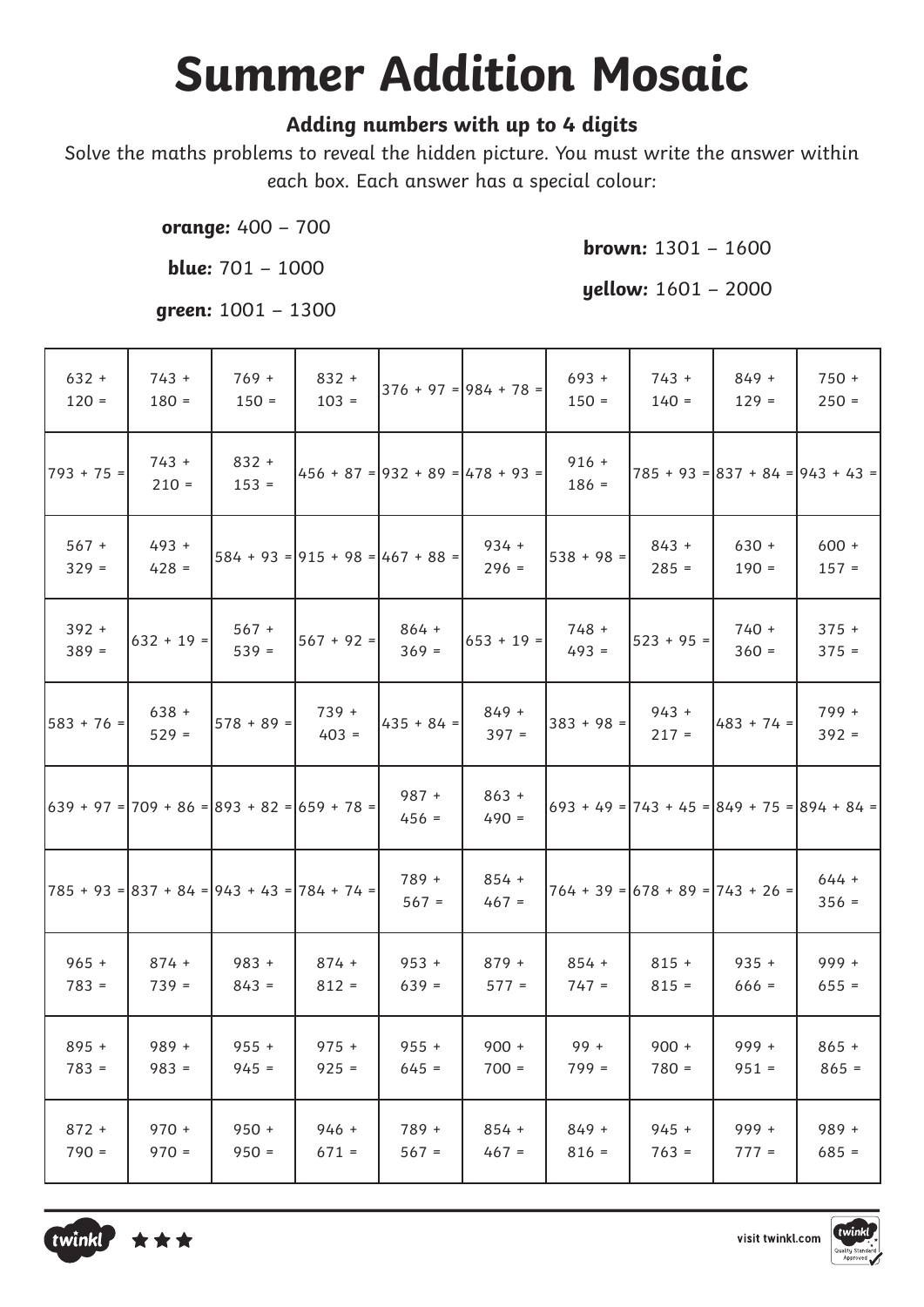# **Summer Addition Mosaic**

#### Adding numbers with up to 4 digits

Solve the maths problems to reveal the hidden picture. You must write the answer within each box. Each answer has a special colour:

orange: 400 - 700

blue:  $701 - 1000$ 

brown:  $1301 - 1600$ 

yellow: 1601 - 2000

green: 1001 - 1300

| $632 +$<br>$120 =$ | $743 +$<br>$180 =$ | $769 +$<br>$150 =$                          | $832 +$<br>$103 =$                 |                                    | $ 376 + 97  =  984 + 78  =$ | $693 +$<br>$150 =$ | $743 +$<br>$140 =$                 | $849 +$<br>$129 =$ | $750 +$<br>$250 =$                                       |
|--------------------|--------------------|---------------------------------------------|------------------------------------|------------------------------------|-----------------------------|--------------------|------------------------------------|--------------------|----------------------------------------------------------|
| $ 793 + 75 =$      | $743 +$<br>$210 =$ | $832 +$<br>$153 =$                          |                                    | $456 + 87 = 932 + 89 = 478 + 93 =$ |                             | $916 +$<br>$186 =$ |                                    |                    | $785 + 93 = 837 + 84 = 943 + 43 =$                       |
| $567 +$<br>$329 =$ | $493 +$<br>$428 =$ |                                             | $584 + 93 = 915 + 98 = 467 + 88 =$ |                                    | $934 +$<br>$296 =$          | $538 + 98 =$       | $843 +$<br>$285 =$                 | $630 +$<br>$190 =$ | $600 +$<br>$157 =$                                       |
| $392 +$<br>$389 =$ | $632 + 19 =$       | $567 +$<br>$539 =$                          | $567 + 92 =$                       | 864 +<br>$369 =$                   | $653 + 19 =$                | 748 +<br>$493 =$   | $523 + 95 =$                       | $740 +$<br>$360 =$ | $375 +$<br>$375 =$                                       |
| $ 583 + 76 =$      | $638 +$<br>$529 =$ | $578 + 89 =$                                | $739 +$<br>$403 =$                 | $435 + 84 =$                       | $849 +$<br>$397 =$          | $383 + 98 =$       | $943 +$<br>$217 =$                 | $483 + 74 =$       | $799 +$<br>$392 =$                                       |
|                    |                    | 639 + 97 = 709 + 86 = 893 + 82 = 659 + 78 = |                                    | $987 +$<br>$456 =$                 | $863 +$<br>$490 =$          |                    |                                    |                    | $\left 693+49\right $ = 743 + 45 = 849 + 75 = 894 + 84 = |
|                    |                    | 785 + 93 = 837 + 84 = 943 + 43 = 784 + 74 = |                                    | 789 +<br>$567 =$                   | $854 +$<br>$467 =$          |                    | $764 + 39 = 678 + 89 = 743 + 26 =$ |                    | $644 +$<br>$356 =$                                       |
| $965 +$<br>$783 =$ | $874 +$<br>$739 =$ | $983 +$<br>$843 =$                          | $874 +$<br>$812 =$                 | $953 +$<br>$639 =$                 | $879 +$<br>$577 =$          | $854 +$<br>$747 =$ | $815 +$<br>$815 =$                 | $935 +$<br>$666 =$ | $999 +$<br>$655 =$                                       |
| $895 +$<br>$783 =$ | $989 +$<br>$983 =$ | $955 +$<br>$945 =$                          | $975 +$<br>$925 =$                 | $955 +$<br>$645 =$                 | $900 +$<br>$700 =$          | 99 +<br>$799 =$    | $900 +$<br>$780 =$                 | $999 +$<br>$951 =$ | $865 +$<br>$865 =$                                       |
| $872 +$<br>$790 =$ | $970 +$<br>$970 =$ | $950 +$<br>$950 =$                          | $946 +$<br>$671 =$                 | 789 +<br>$567 =$                   | $854 +$<br>$467 =$          | $849 +$<br>$816 =$ | $945 +$<br>$763 =$                 | $999 +$<br>$777 =$ | $989 +$<br>$685 =$                                       |